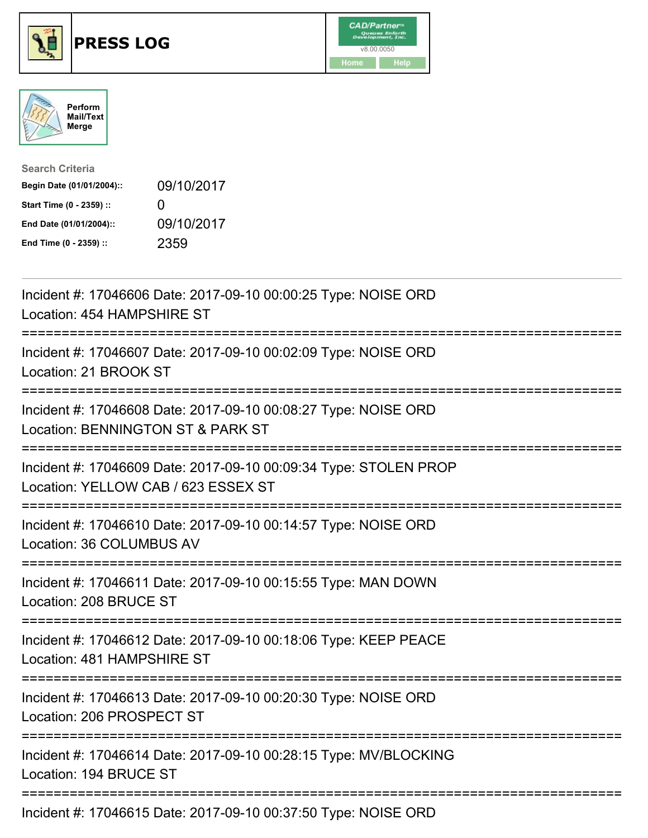





| <b>Search Criteria</b>    |                   |
|---------------------------|-------------------|
| Begin Date (01/01/2004):: | 09/10/2017        |
| Start Time (0 - 2359) ::  | $\mathbf{\Omega}$ |
| End Date (01/01/2004)::   | 09/10/2017        |
| End Time (0 - 2359) ::    | 2359              |

| Incident #: 17046606 Date: 2017-09-10 00:00:25 Type: NOISE ORD<br>Location: 454 HAMPSHIRE ST                                         |
|--------------------------------------------------------------------------------------------------------------------------------------|
| Incident #: 17046607 Date: 2017-09-10 00:02:09 Type: NOISE ORD<br>Location: 21 BROOK ST<br>:============                             |
| Incident #: 17046608 Date: 2017-09-10 00:08:27 Type: NOISE ORD<br>Location: BENNINGTON ST & PARK ST                                  |
| Incident #: 17046609 Date: 2017-09-10 00:09:34 Type: STOLEN PROP<br>Location: YELLOW CAB / 623 ESSEX ST                              |
| Incident #: 17046610 Date: 2017-09-10 00:14:57 Type: NOISE ORD<br>Location: 36 COLUMBUS AV                                           |
| Incident #: 17046611 Date: 2017-09-10 00:15:55 Type: MAN DOWN<br>Location: 208 BRUCE ST                                              |
| Incident #: 17046612 Date: 2017-09-10 00:18:06 Type: KEEP PEACE<br>Location: 481 HAMPSHIRE ST                                        |
| Incident #: 17046613 Date: 2017-09-10 00:20:30 Type: NOISE ORD<br>Location: 206 PROSPECT ST                                          |
| :=====================================<br>Incident #: 17046614 Date: 2017-09-10 00:28:15 Type: MV/BLOCKING<br>Location: 194 BRUCE ST |
| Incident #: 17046615 Date: 2017-09-10 00:37:50 Type: NOISE ORD                                                                       |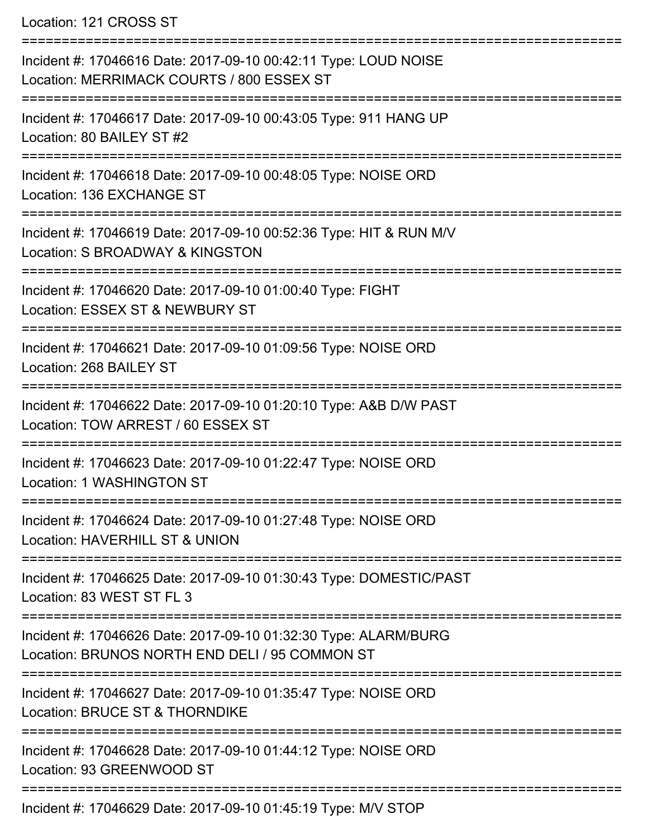Location: 121 CROSS ST

| Incident #: 17046616 Date: 2017-09-10 00:42:11 Type: LOUD NOISE<br>Location: MERRIMACK COURTS / 800 ESSEX ST                          |
|---------------------------------------------------------------------------------------------------------------------------------------|
| Incident #: 17046617 Date: 2017-09-10 00:43:05 Type: 911 HANG UP<br>Location: 80 BAILEY ST #2                                         |
| Incident #: 17046618 Date: 2017-09-10 00:48:05 Type: NOISE ORD<br>Location: 136 EXCHANGE ST                                           |
| Incident #: 17046619 Date: 2017-09-10 00:52:36 Type: HIT & RUN M/V<br>Location: S BROADWAY & KINGSTON                                 |
| Incident #: 17046620 Date: 2017-09-10 01:00:40 Type: FIGHT<br>Location: ESSEX ST & NEWBURY ST                                         |
| Incident #: 17046621 Date: 2017-09-10 01:09:56 Type: NOISE ORD<br>Location: 268 BAILEY ST                                             |
| Incident #: 17046622 Date: 2017-09-10 01:20:10 Type: A&B D/W PAST<br>Location: TOW ARREST / 60 ESSEX ST                               |
| Incident #: 17046623 Date: 2017-09-10 01:22:47 Type: NOISE ORD<br>Location: 1 WASHINGTON ST                                           |
| Incident #: 17046624 Date: 2017-09-10 01:27:48 Type: NOISE ORD<br>Location: HAVERHILL ST & UNION                                      |
| Incident #: 17046625 Date: 2017-09-10 01:30:43 Type: DOMESTIC/PAST<br>Location: 83 WEST ST FL 3                                       |
| Incident #: 17046626 Date: 2017-09-10 01:32:30 Type: ALARM/BURG<br>Location: BRUNOS NORTH END DELI / 95 COMMON ST                     |
| Incident #: 17046627 Date: 2017-09-10 01:35:47 Type: NOISE ORD<br>Location: BRUCE ST & THORNDIKE                                      |
| Incident #: 17046628 Date: 2017-09-10 01:44:12 Type: NOISE ORD<br>Location: 93 GREENWOOD ST<br>-------------------------------------- |
| Incident #: 17046629 Date: 2017-09-10 01:45:19 Type: M/V STOP                                                                         |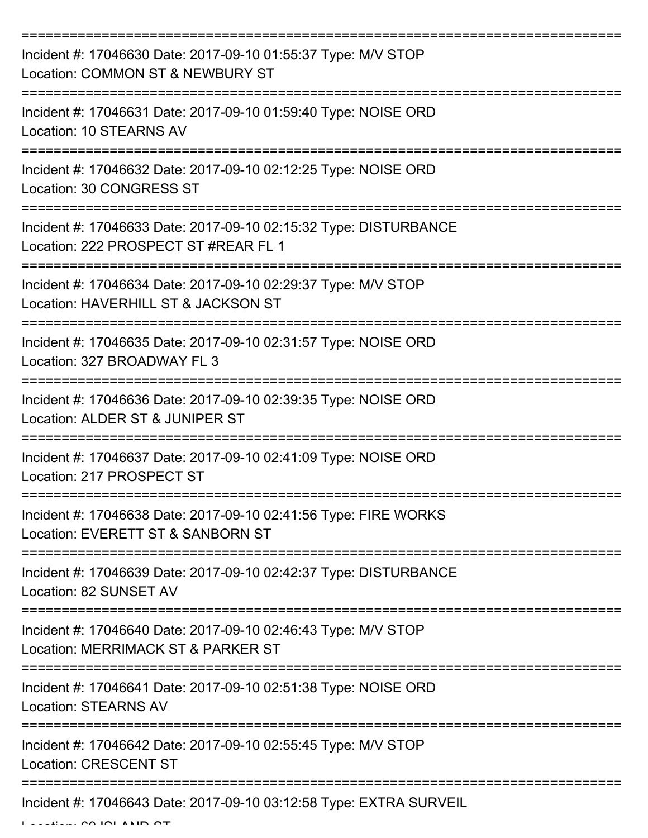| Incident #: 17046630 Date: 2017-09-10 01:55:37 Type: M/V STOP<br>Location: COMMON ST & NEWBURY ST        |
|----------------------------------------------------------------------------------------------------------|
| Incident #: 17046631 Date: 2017-09-10 01:59:40 Type: NOISE ORD<br>Location: 10 STEARNS AV                |
| Incident #: 17046632 Date: 2017-09-10 02:12:25 Type: NOISE ORD<br>Location: 30 CONGRESS ST               |
| Incident #: 17046633 Date: 2017-09-10 02:15:32 Type: DISTURBANCE<br>Location: 222 PROSPECT ST #REAR FL 1 |
| Incident #: 17046634 Date: 2017-09-10 02:29:37 Type: M/V STOP<br>Location: HAVERHILL ST & JACKSON ST     |
| Incident #: 17046635 Date: 2017-09-10 02:31:57 Type: NOISE ORD<br>Location: 327 BROADWAY FL 3            |
| Incident #: 17046636 Date: 2017-09-10 02:39:35 Type: NOISE ORD<br>Location: ALDER ST & JUNIPER ST        |
| Incident #: 17046637 Date: 2017-09-10 02:41:09 Type: NOISE ORD<br>Location: 217 PROSPECT ST              |
| Incident #: 17046638 Date: 2017-09-10 02:41:56 Type: FIRE WORKS<br>Location: EVERETT ST & SANBORN ST     |
| Incident #: 17046639 Date: 2017-09-10 02:42:37 Type: DISTURBANCE<br>Location: 82 SUNSET AV               |
| Incident #: 17046640 Date: 2017-09-10 02:46:43 Type: M/V STOP<br>Location: MERRIMACK ST & PARKER ST      |
| Incident #: 17046641 Date: 2017-09-10 02:51:38 Type: NOISE ORD<br><b>Location: STEARNS AV</b>            |
| Incident #: 17046642 Date: 2017-09-10 02:55:45 Type: M/V STOP<br><b>Location: CRESCENT ST</b>            |
| Incident #: 17046643 Date: 2017-09-10 03:12:58 Type: EXTRA SURVEIL                                       |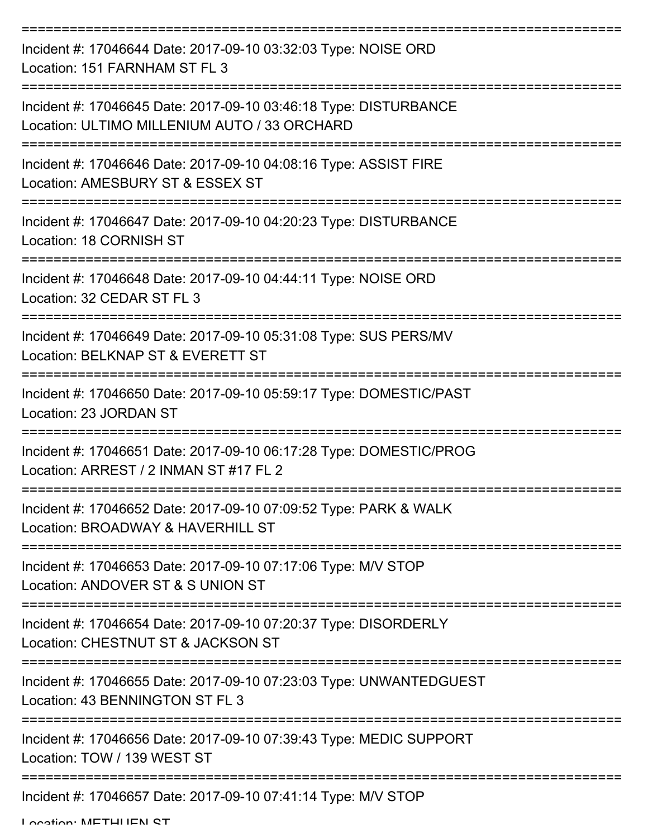| Incident #: 17046644 Date: 2017-09-10 03:32:03 Type: NOISE ORD<br>Location: 151 FARNHAM ST FL 3                  |
|------------------------------------------------------------------------------------------------------------------|
| Incident #: 17046645 Date: 2017-09-10 03:46:18 Type: DISTURBANCE<br>Location: ULTIMO MILLENIUM AUTO / 33 ORCHARD |
| Incident #: 17046646 Date: 2017-09-10 04:08:16 Type: ASSIST FIRE<br>Location: AMESBURY ST & ESSEX ST             |
| Incident #: 17046647 Date: 2017-09-10 04:20:23 Type: DISTURBANCE<br>Location: 18 CORNISH ST                      |
| Incident #: 17046648 Date: 2017-09-10 04:44:11 Type: NOISE ORD<br>Location: 32 CEDAR ST FL 3                     |
| Incident #: 17046649 Date: 2017-09-10 05:31:08 Type: SUS PERS/MV<br>Location: BELKNAP ST & EVERETT ST            |
| Incident #: 17046650 Date: 2017-09-10 05:59:17 Type: DOMESTIC/PAST<br>Location: 23 JORDAN ST                     |
| Incident #: 17046651 Date: 2017-09-10 06:17:28 Type: DOMESTIC/PROG<br>Location: ARREST / 2 INMAN ST #17 FL 2     |
| Incident #: 17046652 Date: 2017-09-10 07:09:52 Type: PARK & WALK<br>Location: BROADWAY & HAVERHILL ST            |
| Incident #: 17046653 Date: 2017-09-10 07:17:06 Type: M/V STOP<br>Location: ANDOVER ST & S UNION ST               |
| Incident #: 17046654 Date: 2017-09-10 07:20:37 Type: DISORDERLY<br>Location: CHESTNUT ST & JACKSON ST            |
| Incident #: 17046655 Date: 2017-09-10 07:23:03 Type: UNWANTEDGUEST<br>Location: 43 BENNINGTON ST FL 3            |
| Incident #: 17046656 Date: 2017-09-10 07:39:43 Type: MEDIC SUPPORT<br>Location: TOW / 139 WEST ST                |
| Incident #: 17046657 Date: 2017-09-10 07:41:14 Type: M/V STOP                                                    |

Location: METHHEN ST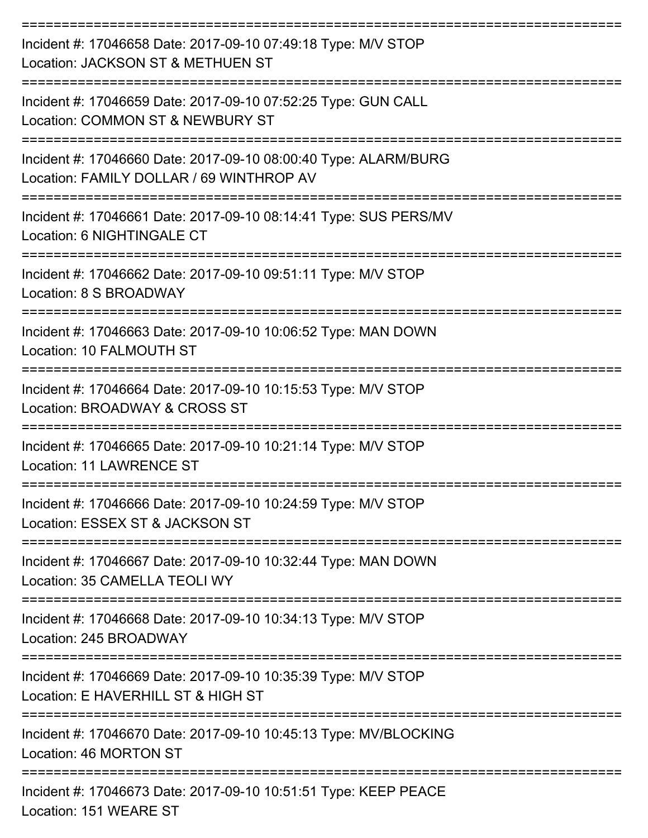| Incident #: 17046658 Date: 2017-09-10 07:49:18 Type: M/V STOP<br>Location: JACKSON ST & METHUEN ST                                        |
|-------------------------------------------------------------------------------------------------------------------------------------------|
| Incident #: 17046659 Date: 2017-09-10 07:52:25 Type: GUN CALL<br>Location: COMMON ST & NEWBURY ST                                         |
| Incident #: 17046660 Date: 2017-09-10 08:00:40 Type: ALARM/BURG<br>Location: FAMILY DOLLAR / 69 WINTHROP AV                               |
| Incident #: 17046661 Date: 2017-09-10 08:14:41 Type: SUS PERS/MV<br>Location: 6 NIGHTINGALE CT                                            |
| Incident #: 17046662 Date: 2017-09-10 09:51:11 Type: M/V STOP<br>Location: 8 S BROADWAY                                                   |
| Incident #: 17046663 Date: 2017-09-10 10:06:52 Type: MAN DOWN<br>Location: 10 FALMOUTH ST                                                 |
| Incident #: 17046664 Date: 2017-09-10 10:15:53 Type: M/V STOP<br>Location: BROADWAY & CROSS ST                                            |
| Incident #: 17046665 Date: 2017-09-10 10:21:14 Type: M/V STOP<br><b>Location: 11 LAWRENCE ST</b>                                          |
| Incident #: 17046666 Date: 2017-09-10 10:24:59 Type: M/V STOP<br>Location: ESSEX ST & JACKSON ST                                          |
| Incident #: 17046667 Date: 2017-09-10 10:32:44 Type: MAN DOWN<br>Location: 35 CAMELLA TEOLI WY                                            |
| Incident #: 17046668 Date: 2017-09-10 10:34:13 Type: M/V STOP<br>Location: 245 BROADWAY                                                   |
| ----------------------------------<br>Incident #: 17046669 Date: 2017-09-10 10:35:39 Type: M/V STOP<br>Location: E HAVERHILL ST & HIGH ST |
| Incident #: 17046670 Date: 2017-09-10 10:45:13 Type: MV/BLOCKING<br>Location: 46 MORTON ST                                                |
| Incident #: 17046673 Date: 2017-09-10 10:51:51 Type: KEEP PEACE<br>Location: 151 WEARE ST                                                 |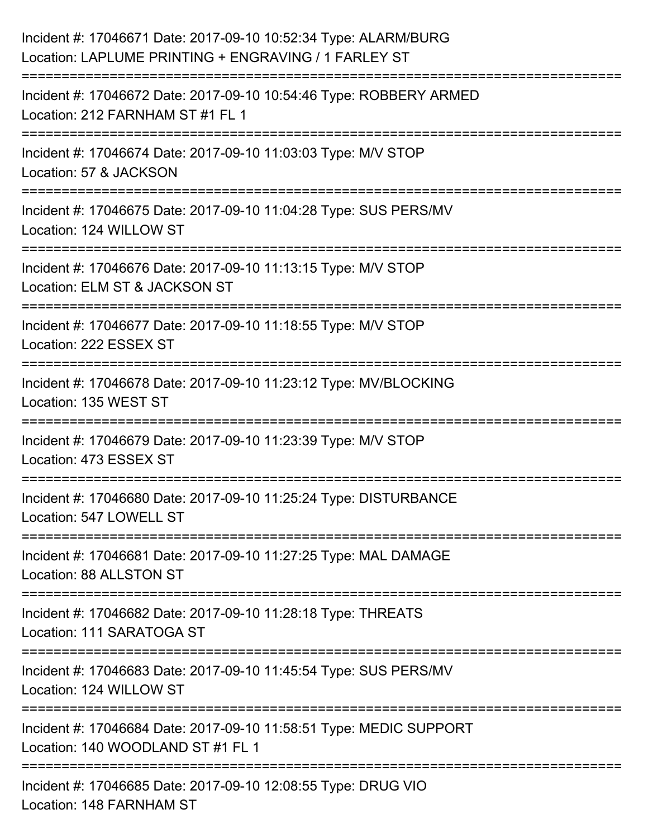| Incident #: 17046671 Date: 2017-09-10 10:52:34 Type: ALARM/BURG<br>Location: LAPLUME PRINTING + ENGRAVING / 1 FARLEY ST |
|-------------------------------------------------------------------------------------------------------------------------|
| Incident #: 17046672 Date: 2017-09-10 10:54:46 Type: ROBBERY ARMED<br>Location: 212 FARNHAM ST #1 FL 1                  |
| Incident #: 17046674 Date: 2017-09-10 11:03:03 Type: M/V STOP<br>Location: 57 & JACKSON                                 |
| Incident #: 17046675 Date: 2017-09-10 11:04:28 Type: SUS PERS/MV<br>Location: 124 WILLOW ST                             |
| Incident #: 17046676 Date: 2017-09-10 11:13:15 Type: M/V STOP<br>Location: ELM ST & JACKSON ST<br>------------------    |
| Incident #: 17046677 Date: 2017-09-10 11:18:55 Type: M/V STOP<br>Location: 222 ESSEX ST                                 |
| Incident #: 17046678 Date: 2017-09-10 11:23:12 Type: MV/BLOCKING<br>Location: 135 WEST ST                               |
| =======================<br>Incident #: 17046679 Date: 2017-09-10 11:23:39 Type: M/V STOP<br>Location: 473 ESSEX ST      |
| Incident #: 17046680 Date: 2017-09-10 11:25:24 Type: DISTURBANCE<br>Location: 547 LOWELL ST                             |
| Incident #: 17046681 Date: 2017-09-10 11:27:25 Type: MAL DAMAGE<br>Location: 88 ALLSTON ST                              |
| Incident #: 17046682 Date: 2017-09-10 11:28:18 Type: THREATS<br>Location: 111 SARATOGA ST                               |
| Incident #: 17046683 Date: 2017-09-10 11:45:54 Type: SUS PERS/MV<br>Location: 124 WILLOW ST                             |
| Incident #: 17046684 Date: 2017-09-10 11:58:51 Type: MEDIC SUPPORT<br>Location: 140 WOODLAND ST #1 FL 1                 |
| Incident #: 17046685 Date: 2017-09-10 12:08:55 Type: DRUG VIO<br>Location: 148 FARNHAM ST                               |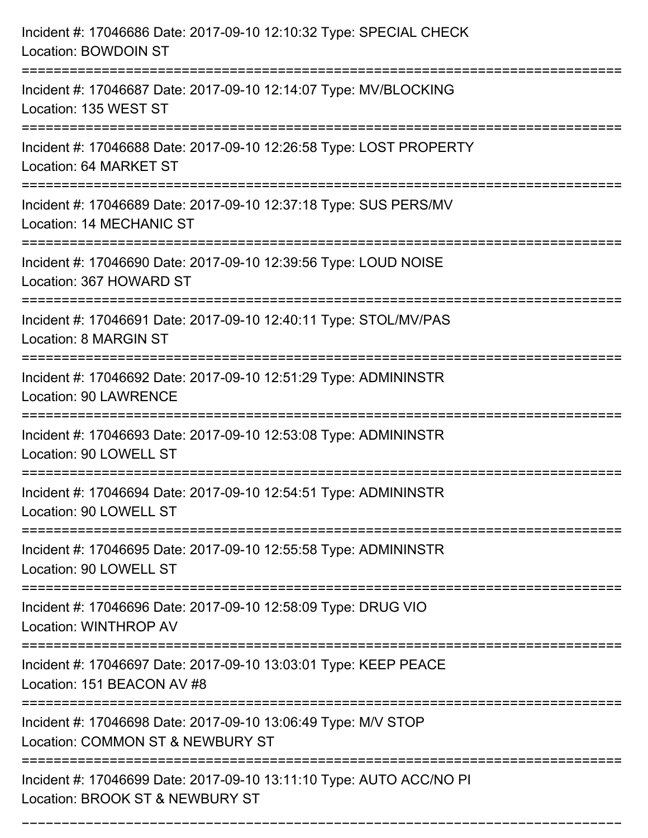| Incident #: 17046686 Date: 2017-09-10 12:10:32 Type: SPECIAL CHECK<br>Location: BOWDOIN ST                                           |
|--------------------------------------------------------------------------------------------------------------------------------------|
| Incident #: 17046687 Date: 2017-09-10 12:14:07 Type: MV/BLOCKING<br>Location: 135 WEST ST                                            |
| Incident #: 17046688 Date: 2017-09-10 12:26:58 Type: LOST PROPERTY<br>Location: 64 MARKET ST<br>;=================================== |
| Incident #: 17046689 Date: 2017-09-10 12:37:18 Type: SUS PERS/MV<br>Location: 14 MECHANIC ST                                         |
| Incident #: 17046690 Date: 2017-09-10 12:39:56 Type: LOUD NOISE<br>Location: 367 HOWARD ST                                           |
| Incident #: 17046691 Date: 2017-09-10 12:40:11 Type: STOL/MV/PAS<br><b>Location: 8 MARGIN ST</b>                                     |
| Incident #: 17046692 Date: 2017-09-10 12:51:29 Type: ADMININSTR<br><b>Location: 90 LAWRENCE</b>                                      |
| Incident #: 17046693 Date: 2017-09-10 12:53:08 Type: ADMININSTR<br>Location: 90 LOWELL ST                                            |
| Incident #: 17046694 Date: 2017-09-10 12:54:51 Type: ADMININSTR<br>Location: 90 LOWELL ST                                            |
| Incident #: 17046695 Date: 2017-09-10 12:55:58 Type: ADMININSTR<br>Location: 90 LOWELL ST                                            |
| Incident #: 17046696 Date: 2017-09-10 12:58:09 Type: DRUG VIO<br>Location: WINTHROP AV                                               |
| Incident #: 17046697 Date: 2017-09-10 13:03:01 Type: KEEP PEACE<br>Location: 151 BEACON AV #8                                        |
| Incident #: 17046698 Date: 2017-09-10 13:06:49 Type: M/V STOP<br>Location: COMMON ST & NEWBURY ST                                    |
| Incident #: 17046699 Date: 2017-09-10 13:11:10 Type: AUTO ACC/NO PI<br>Location: BROOK ST & NEWBURY ST                               |

===========================================================================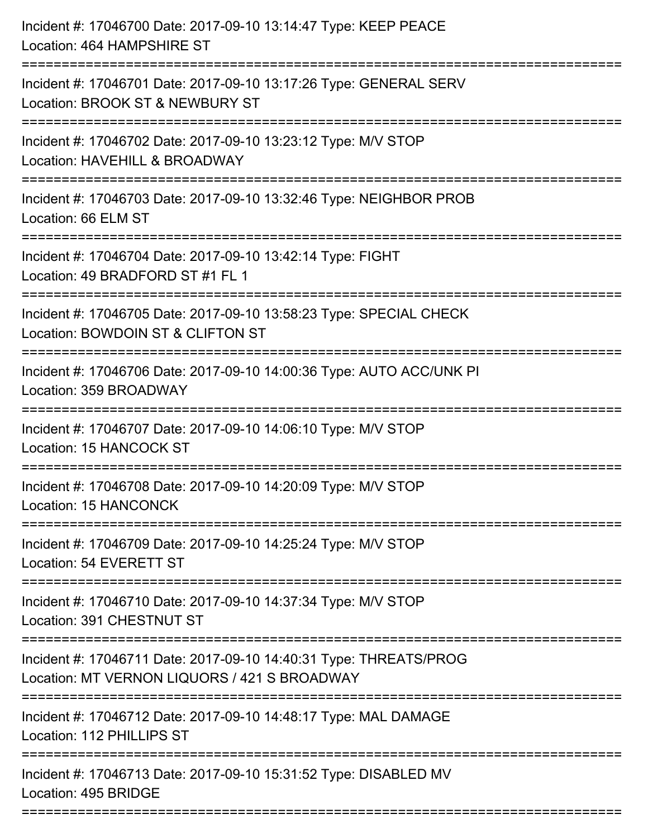| Incident #: 17046701 Date: 2017-09-10 13:17:26 Type: GENERAL SERV<br>Location: BROOK ST & NEWBURY ST<br>Incident #: 17046702 Date: 2017-09-10 13:23:12 Type: M/V STOP<br>Location: HAVEHILL & BROADWAY<br>Incident #: 17046703 Date: 2017-09-10 13:32:46 Type: NEIGHBOR PROB<br>Location: 66 ELM ST<br>Incident #: 17046704 Date: 2017-09-10 13:42:14 Type: FIGHT<br>Location: 49 BRADFORD ST #1 FL 1<br>=============================<br>Incident #: 17046705 Date: 2017-09-10 13:58:23 Type: SPECIAL CHECK |
|--------------------------------------------------------------------------------------------------------------------------------------------------------------------------------------------------------------------------------------------------------------------------------------------------------------------------------------------------------------------------------------------------------------------------------------------------------------------------------------------------------------|
|                                                                                                                                                                                                                                                                                                                                                                                                                                                                                                              |
|                                                                                                                                                                                                                                                                                                                                                                                                                                                                                                              |
|                                                                                                                                                                                                                                                                                                                                                                                                                                                                                                              |
|                                                                                                                                                                                                                                                                                                                                                                                                                                                                                                              |
| Location: BOWDOIN ST & CLIFTON ST                                                                                                                                                                                                                                                                                                                                                                                                                                                                            |
| Incident #: 17046706 Date: 2017-09-10 14:00:36 Type: AUTO ACC/UNK PI<br>Location: 359 BROADWAY                                                                                                                                                                                                                                                                                                                                                                                                               |
| Incident #: 17046707 Date: 2017-09-10 14:06:10 Type: M/V STOP<br>Location: 15 HANCOCK ST                                                                                                                                                                                                                                                                                                                                                                                                                     |
| Incident #: 17046708 Date: 2017-09-10 14:20:09 Type: M/V STOP<br>Location: 15 HANCONCK                                                                                                                                                                                                                                                                                                                                                                                                                       |
| ===================<br>===============================<br>Incident #: 17046709 Date: 2017-09-10 14:25:24 Type: M/V STOP<br>Location: 54 EVERETT ST                                                                                                                                                                                                                                                                                                                                                           |
| Incident #: 17046710 Date: 2017-09-10 14:37:34 Type: M/V STOP<br>Location: 391 CHESTNUT ST                                                                                                                                                                                                                                                                                                                                                                                                                   |
| Incident #: 17046711 Date: 2017-09-10 14:40:31 Type: THREATS/PROG<br>Location: MT VERNON LIQUORS / 421 S BROADWAY                                                                                                                                                                                                                                                                                                                                                                                            |
| Incident #: 17046712 Date: 2017-09-10 14:48:17 Type: MAL DAMAGE<br>Location: 112 PHILLIPS ST                                                                                                                                                                                                                                                                                                                                                                                                                 |
| Incident #: 17046713 Date: 2017-09-10 15:31:52 Type: DISABLED MV<br>Location: 495 BRIDGE                                                                                                                                                                                                                                                                                                                                                                                                                     |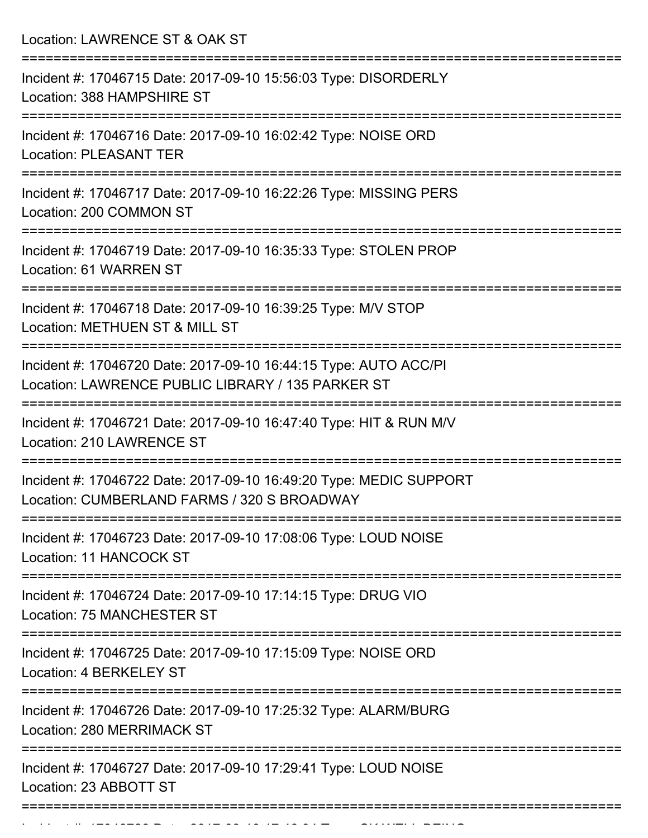Location: LAWRENCE ST & OAK ST

| Incident #: 17046715 Date: 2017-09-10 15:56:03 Type: DISORDERLY<br>Location: 388 HAMPSHIRE ST                         |
|-----------------------------------------------------------------------------------------------------------------------|
| Incident #: 17046716 Date: 2017-09-10 16:02:42 Type: NOISE ORD<br><b>Location: PLEASANT TER</b>                       |
| Incident #: 17046717 Date: 2017-09-10 16:22:26 Type: MISSING PERS<br>Location: 200 COMMON ST                          |
| Incident #: 17046719 Date: 2017-09-10 16:35:33 Type: STOLEN PROP<br>Location: 61 WARREN ST                            |
| Incident #: 17046718 Date: 2017-09-10 16:39:25 Type: M/V STOP<br>Location: METHUEN ST & MILL ST                       |
| Incident #: 17046720 Date: 2017-09-10 16:44:15 Type: AUTO ACC/PI<br>Location: LAWRENCE PUBLIC LIBRARY / 135 PARKER ST |
| Incident #: 17046721 Date: 2017-09-10 16:47:40 Type: HIT & RUN M/V<br>Location: 210 LAWRENCE ST<br>===========        |
| Incident #: 17046722 Date: 2017-09-10 16:49:20 Type: MEDIC SUPPORT<br>Location: CUMBERLAND FARMS / 320 S BROADWAY     |
| Incident #: 17046723 Date: 2017-09-10 17:08:06 Type: LOUD NOISE<br>Location: 11 HANCOCK ST                            |
| Incident #: 17046724 Date: 2017-09-10 17:14:15 Type: DRUG VIO<br><b>Location: 75 MANCHESTER ST</b>                    |
| Incident #: 17046725 Date: 2017-09-10 17:15:09 Type: NOISE ORD<br>Location: 4 BERKELEY ST                             |
| Incident #: 17046726 Date: 2017-09-10 17:25:32 Type: ALARM/BURG<br><b>Location: 280 MERRIMACK ST</b>                  |
| Incident #: 17046727 Date: 2017-09-10 17:29:41 Type: LOUD NOISE<br>Location: 23 ABBOTT ST                             |
|                                                                                                                       |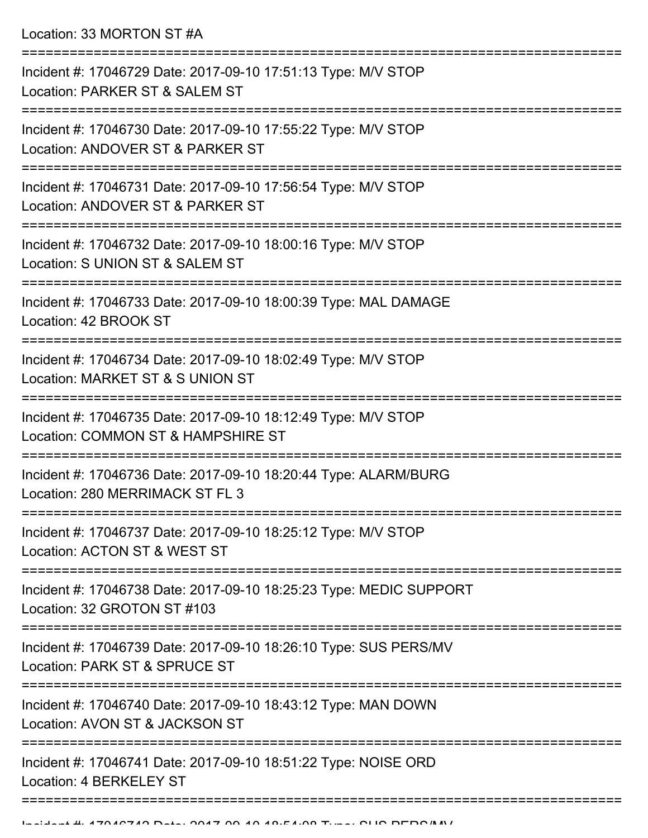Location: 33 MORTON ST #A

| Incident #: 17046729 Date: 2017-09-10 17:51:13 Type: M/V STOP<br>Location: PARKER ST & SALEM ST     |
|-----------------------------------------------------------------------------------------------------|
| Incident #: 17046730 Date: 2017-09-10 17:55:22 Type: M/V STOP<br>Location: ANDOVER ST & PARKER ST   |
| Incident #: 17046731 Date: 2017-09-10 17:56:54 Type: M/V STOP<br>Location: ANDOVER ST & PARKER ST   |
| Incident #: 17046732 Date: 2017-09-10 18:00:16 Type: M/V STOP<br>Location: S UNION ST & SALEM ST    |
| Incident #: 17046733 Date: 2017-09-10 18:00:39 Type: MAL DAMAGE<br>Location: 42 BROOK ST            |
| Incident #: 17046734 Date: 2017-09-10 18:02:49 Type: M/V STOP<br>Location: MARKET ST & S UNION ST   |
| Incident #: 17046735 Date: 2017-09-10 18:12:49 Type: M/V STOP<br>Location: COMMON ST & HAMPSHIRE ST |
| Incident #: 17046736 Date: 2017-09-10 18:20:44 Type: ALARM/BURG<br>Location: 280 MERRIMACK ST FL 3  |
| Incident #: 17046737 Date: 2017-09-10 18:25:12 Type: M/V STOP<br>Location: ACTON ST & WEST ST       |
| Incident #: 17046738 Date: 2017-09-10 18:25:23 Type: MEDIC SUPPORT<br>Location: 32 GROTON ST #103   |
| Incident #: 17046739 Date: 2017-09-10 18:26:10 Type: SUS PERS/MV<br>Location: PARK ST & SPRUCE ST   |
| Incident #: 17046740 Date: 2017-09-10 18:43:12 Type: MAN DOWN<br>Location: AVON ST & JACKSON ST     |
| Incident #: 17046741 Date: 2017-09-10 18:51:22 Type: NOISE ORD<br>Location: 4 BERKELEY ST           |
|                                                                                                     |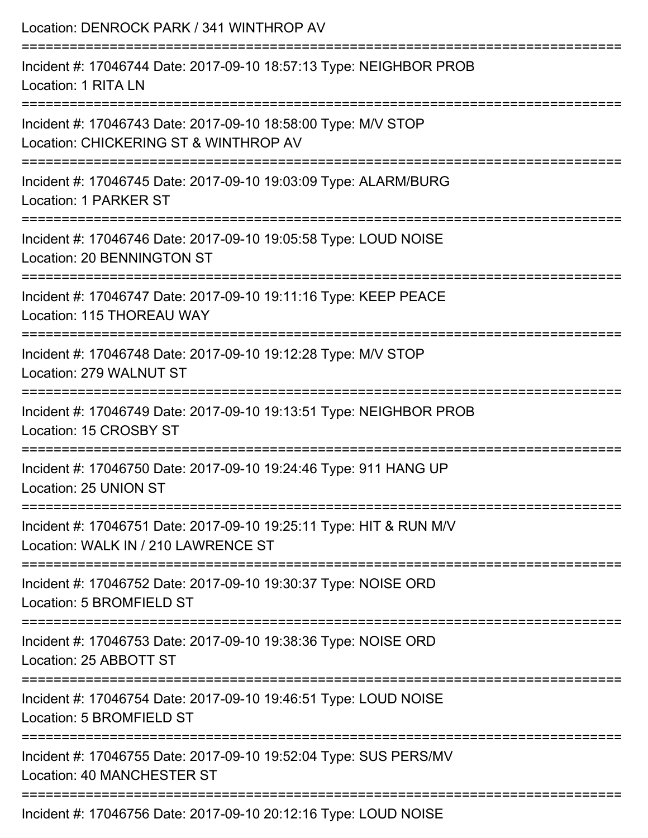| Location: DENROCK PARK / 341 WINTHROP AV                                                                  |
|-----------------------------------------------------------------------------------------------------------|
| Incident #: 17046744 Date: 2017-09-10 18:57:13 Type: NEIGHBOR PROB<br>Location: 1 RITA LN                 |
| Incident #: 17046743 Date: 2017-09-10 18:58:00 Type: M/V STOP<br>Location: CHICKERING ST & WINTHROP AV    |
| Incident #: 17046745 Date: 2017-09-10 19:03:09 Type: ALARM/BURG<br>Location: 1 PARKER ST                  |
| Incident #: 17046746 Date: 2017-09-10 19:05:58 Type: LOUD NOISE<br>Location: 20 BENNINGTON ST             |
| Incident #: 17046747 Date: 2017-09-10 19:11:16 Type: KEEP PEACE<br>Location: 115 THOREAU WAY              |
| Incident #: 17046748 Date: 2017-09-10 19:12:28 Type: M/V STOP<br>Location: 279 WALNUT ST                  |
| Incident #: 17046749 Date: 2017-09-10 19:13:51 Type: NEIGHBOR PROB<br>Location: 15 CROSBY ST              |
| Incident #: 17046750 Date: 2017-09-10 19:24:46 Type: 911 HANG UP<br>Location: 25 UNION ST                 |
| Incident #: 17046751 Date: 2017-09-10 19:25:11 Type: HIT & RUN M/V<br>Location: WALK IN / 210 LAWRENCE ST |
| Incident #: 17046752 Date: 2017-09-10 19:30:37 Type: NOISE ORD<br>Location: 5 BROMFIELD ST                |
| Incident #: 17046753 Date: 2017-09-10 19:38:36 Type: NOISE ORD<br>Location: 25 ABBOTT ST                  |
| Incident #: 17046754 Date: 2017-09-10 19:46:51 Type: LOUD NOISE<br>Location: 5 BROMFIELD ST               |
| Incident #: 17046755 Date: 2017-09-10 19:52:04 Type: SUS PERS/MV<br>Location: 40 MANCHESTER ST            |
| 0.027001000                                                                                               |

Incident #: 17046756 Date: 2017-09-10 20:12:16 Type: LOUD NOISE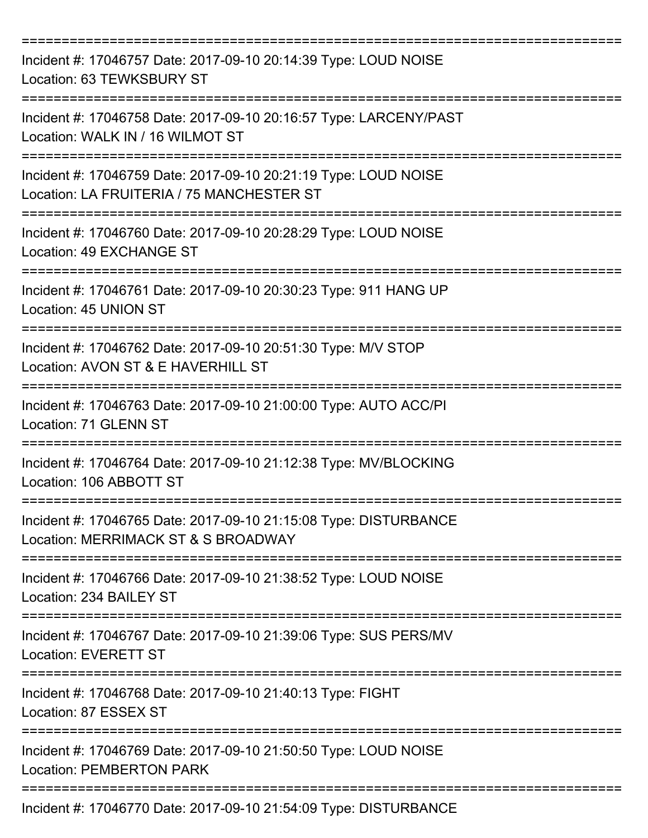| Incident #: 17046757 Date: 2017-09-10 20:14:39 Type: LOUD NOISE<br>Location: 63 TEWKSBURY ST                                                  |
|-----------------------------------------------------------------------------------------------------------------------------------------------|
| Incident #: 17046758 Date: 2017-09-10 20:16:57 Type: LARCENY/PAST<br>Location: WALK IN / 16 WILMOT ST<br>=================<br>=============== |
| Incident #: 17046759 Date: 2017-09-10 20:21:19 Type: LOUD NOISE<br>Location: LA FRUITERIA / 75 MANCHESTER ST                                  |
| Incident #: 17046760 Date: 2017-09-10 20:28:29 Type: LOUD NOISE<br>Location: 49 EXCHANGE ST                                                   |
| Incident #: 17046761 Date: 2017-09-10 20:30:23 Type: 911 HANG UP<br>Location: 45 UNION ST                                                     |
| Incident #: 17046762 Date: 2017-09-10 20:51:30 Type: M/V STOP<br>Location: AVON ST & E HAVERHILL ST                                           |
| Incident #: 17046763 Date: 2017-09-10 21:00:00 Type: AUTO ACC/PI<br>Location: 71 GLENN ST                                                     |
| Incident #: 17046764 Date: 2017-09-10 21:12:38 Type: MV/BLOCKING<br>Location: 106 ABBOTT ST                                                   |
| Incident #: 17046765 Date: 2017-09-10 21:15:08 Type: DISTURBANCE<br>Location: MERRIMACK ST & S BROADWAY                                       |
| Incident #: 17046766 Date: 2017-09-10 21:38:52 Type: LOUD NOISE<br>Location: 234 BAILEY ST                                                    |
| Incident #: 17046767 Date: 2017-09-10 21:39:06 Type: SUS PERS/MV<br><b>Location: EVERETT ST</b>                                               |
| Incident #: 17046768 Date: 2017-09-10 21:40:13 Type: FIGHT<br>Location: 87 ESSEX ST                                                           |
| Incident #: 17046769 Date: 2017-09-10 21:50:50 Type: LOUD NOISE<br><b>Location: PEMBERTON PARK</b>                                            |
| Incident #: 17046770 Date: 2017-09-10 21:54:09 Type: DISTURBANCE                                                                              |